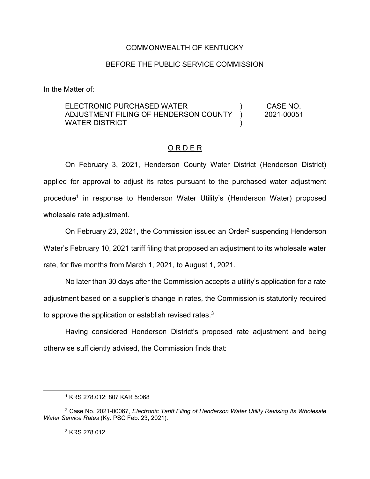## COMMONWEALTH OF KENTUCKY

## BEFORE THE PUBLIC SERVICE COMMISSION

In the Matter of:

## ELECTRONIC PURCHASED WATER ADJUSTMENT FILING OF HENDERSON COUNTY WATER DISTRICT ) ) ) CASE NO. 2021-00051

## O R D E R

On February 3, 2021, Henderson County Water District (Henderson District) applied for approval to adjust its rates pursuant to the purchased water adjustment procedure<sup>1</sup> in response to Henderson Water Utility's (Henderson Water) proposed wholesale rate adjustment.

On February 23, 2021, the Commission issued an Order<sup>2</sup> suspending Henderson Water's February 10, 2021 tariff filing that proposed an adjustment to its wholesale water rate, for five months from March 1, 2021, to August 1, 2021.

No later than 30 days after the Commission accepts a utility's application for a rate adjustment based on a supplier's change in rates, the Commission is statutorily required to approve the application or establish revised rates.<sup>3</sup>

Having considered Henderson District's proposed rate adjustment and being otherwise sufficiently advised, the Commission finds that:

<sup>3</sup> KRS 278.012

<sup>1</sup> KRS 278.012; 807 KAR 5:068

<sup>2</sup> Case No. 2021-00067, *Electronic Tariff Filing of Henderson Water Utility Revising Its Wholesale Water Service Rates* (Ky. PSC Feb. 23, 2021).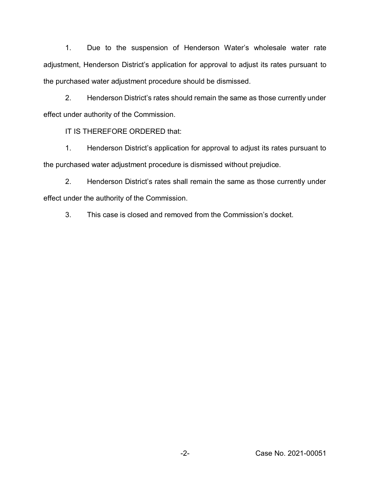1. Due to the suspension of Henderson Water's wholesale water rate adjustment, Henderson District's application for approval to adjust its rates pursuant to the purchased water adjustment procedure should be dismissed.

2. Henderson District's rates should remain the same as those currently under effect under authority of the Commission.

IT IS THEREFORE ORDERED that:

1. Henderson District's application for approval to adjust its rates pursuant to the purchased water adjustment procedure is dismissed without prejudice.

2. Henderson District's rates shall remain the same as those currently under effect under the authority of the Commission.

3. This case is closed and removed from the Commission's docket.

-2- Case No. 2021-00051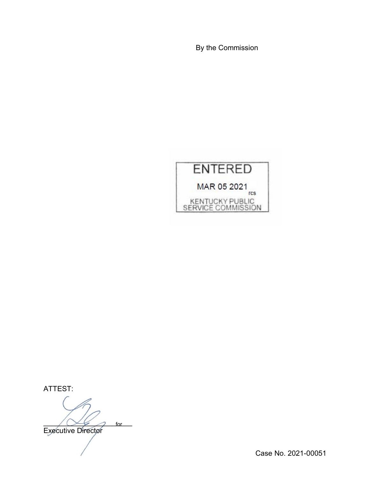By the Commission



ATTEST:

 $\bigwedge \bigvee \neq \bigwedge$  for for

Executive Director

Case No. 2021-00051